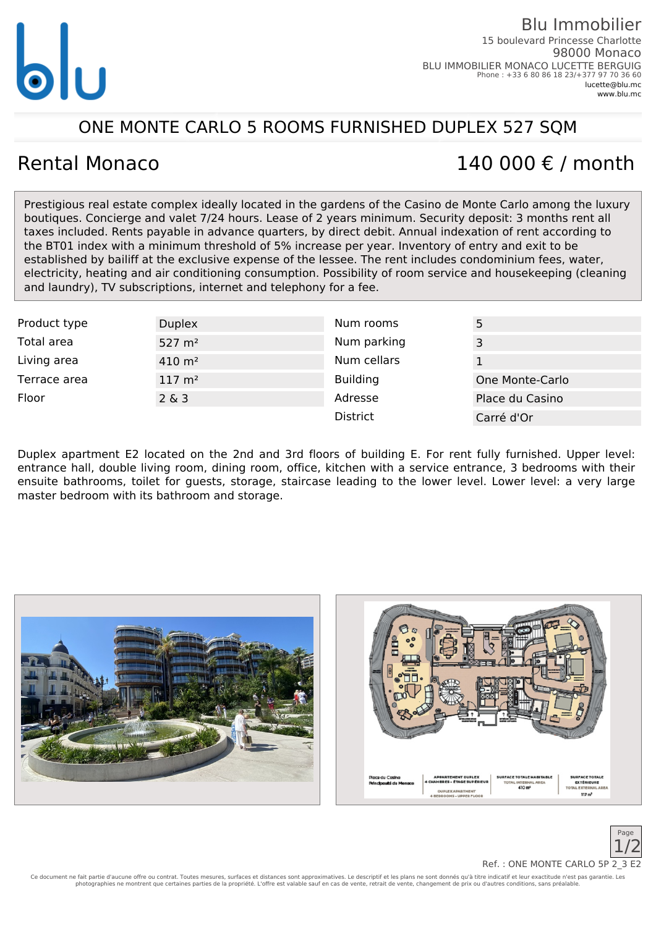

### ONE MONTE CARLO 5 ROOMS FURNISHED DUPLEX 527 SQM

# Rental Monaco  $140,000 \notin \ell$  month

Prestigious real estate complex ideally located in the gardens of the Casino de Monte Carlo among the luxury boutiques. Concierge and valet 7/24 hours. Lease of 2 years minimum. Security deposit: 3 months rent all taxes included. Rents payable in advance quarters, by direct debit. Annual indexation of rent according to the BT01 index with a minimum threshold of 5% increase per year. Inventory of entry and exit to be established by bailiff at the exclusive expense of the lessee. The rent includes condominium fees, water, electricity, heating and air conditioning consumption. Possibility of room service and housekeeping (cleaning and laundry), TV subscriptions, internet and telephony for a fee.

| Product type | <b>Duplex</b>         | Num rooms       |                 |
|--------------|-----------------------|-----------------|-----------------|
| Total area   | $527 \; \text{m}^2$   | Num parking     | 3               |
| Living area  | $410 \; \text{m}^2$   | Num cellars     |                 |
| Terrace area | $117 \; \mathrm{m}^2$ | <b>Building</b> | One Monte-Carlo |
| Floor        | $2\&3$                | Adresse         | Place du Casino |
|              |                       | <b>District</b> | Carré d'Or      |

Duplex apartment E2 located on the 2nd and 3rd floors of building E. For rent fully furnished. Upper level: entrance hall, double living room, dining room, office, kitchen with a service entrance, 3 bedrooms with their ensuite bathrooms, toilet for guests, storage, staircase leading to the lower level. Lower level: a very large master bedroom with its bathroom and storage.







Ce document ne fait partie d'aucune offre ou contrat. Toutes mesures, surfaces et distances sont approximatives. Le descriptif et les plans ne sont donnés qu'à titre indicatif et leur exactitude n'est pas garantie. Les photographies ne montrent que certaines parties de la propriété. L'offre est valable sauf en cas de vente, retrait de vente, changement de prix ou d'autres conditions, sans préalable. Ref.: ONE MONTE CARLO 5P 2\_3 E2